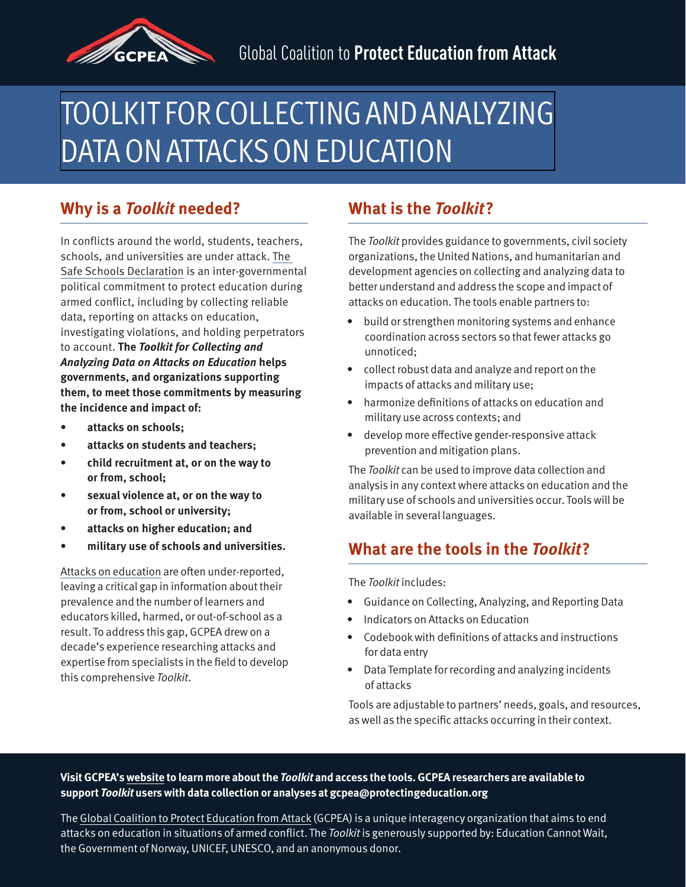

# [TOOLKIT FOR COLLECTING AND ANALYZING](https://protectingeducation.org/publication/toolkit-for-collecting-and-analyzing-data-on-attacks-on-education/)  DATA ON ATTACKSON EDUCATION

#### **Why is a Toolkit needed?**

In conflicts around the world, students, teachers, schools, and universities are under attack. [The](https://ssd.protectingeducation.org/) [Safe Schools Declaration](https://ssd.protectingeducation.org/) is an inter-governmental political commitment to protect education during armed conflict, including by collecting reliable data, reporting on attacks on education, investigating violations, and holding perpetrators to account. **The Toolkit for Collecting and Analyzing Data on Attacks on Education helps governments, and organizations supporting them, to meet those commitments by measuring the incidence and impact of:** 

- **attacks on schools;**
- **attacks on students and teachers;**
- **child recruitment at, or on the way to or from, school;**
- **sexual violence at, or on the way to or from, school or university;**
- **attacks on higher education; and**
- **military use of schools and universities.**

[Attacks on education](https://eua2020.protectingeducation.org/) are often under-reported, leaving a critical gap in information about their prevalence and the number of learners and educators killed, harmed, or out-of-school as a result. To address this gap, GCPEA drew on a decade's experience researching attacks and expertise from specialists in the field to develop this comprehensive Toolkit.

### **What is the Toolkit?**

The Toolkit provides guidance to governments, civil society organizations, the United Nations, and humanitarian and development agencies on collecting and analyzing data to better understand and address the scope and impact of attacks on education. The tools enable partners to:

- build or strengthen monitoring systems and enhance coordination across sectors so that fewer attacks go unnoticed;
- collect robust data and analyze and report on the impacts of attacks and military use;
- harmonize definitions of attacks on education and military use across contexts; and
- develop more effective gender-responsive attack prevention and mitigation plans.

The Toolkit can be used to improve data collection and analysis in any context where attacks on education and the military use of schools and universities occur. Tools will be available in several languages.

#### **What are the tools in the Toolkit?**

The Toolkit includes:

- Guidance on Collecting, Analyzing, and Reporting Data
- Indicators on Attacks on Education
- Codebook with definitions of attacks and instructions for data entry
- Data Template for recording and analyzing incidents of attacks

Tools are adjustable to partners' needs, goals, and resources, as well as the specific attacks occurring in their context.

#### **Visit GCPEA's [website](https://protectingeducation.org/publication/toolkit-for-collecting-and-analyzing-data-on-attacks-on-education/) to learn more about the Toolkit and access the tools. GCPEA researchers are available to support Toolkit users with data collection or analyses at gcpea@protectingeducation.org**

The [Global Coalition to Protect Education from Attack](https://protectingeducation.org/) (GCPEA) is a unique interagency organization that aims to end attacks on education in situations of armed conflict. The Toolkit is generously supported by: Education Cannot Wait, the Government of Norway, UNICEF, UNESCO, and an anonymous donor.